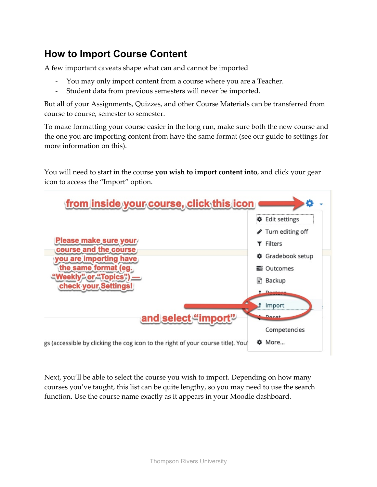## **How to Import Course Content**

A few important caveats shape what can and cannot be imported

- You may only import content from a course where you are a Teacher.
- Student data from previous semesters will never be imported.

But all of your Assignments, Quizzes, and other Course Materials can be transferred from course to course, semester to semester.

To make formatting your course easier in the long run, make sure both the new course and the one you are importing content from have the same format (see our guide to settings for more information on this).

You will need to start in the course **you wish to import content into**, and click your gear icon to access the "Import" option.

| from inside your course, click this icon                                        |                        |
|---------------------------------------------------------------------------------|------------------------|
|                                                                                 | <b>♦</b> Edit settings |
|                                                                                 | Turn editing off       |
| Please make sure your                                                           | <b>T</b> Filters       |
| course and the course<br>you are importing have                                 | Gradebook setup        |
| the same format (eg.                                                            | 量 Outcomes             |
| "Weekly" or "Topics"                                                            | <b>Backup</b>          |
| check your Settings!                                                            |                        |
|                                                                                 | Import                 |
| and select "import"                                                             | <b>Docat</b>           |
|                                                                                 | Competencies           |
| gs (accessible by clicking the cog icon to the right of your course title). You | <b>O</b> More          |

Next, you'll be able to select the course you wish to import. Depending on how many courses you've taught, this list can be quite lengthy, so you may need to use the search function. Use the course name exactly as it appears in your Moodle dashboard.